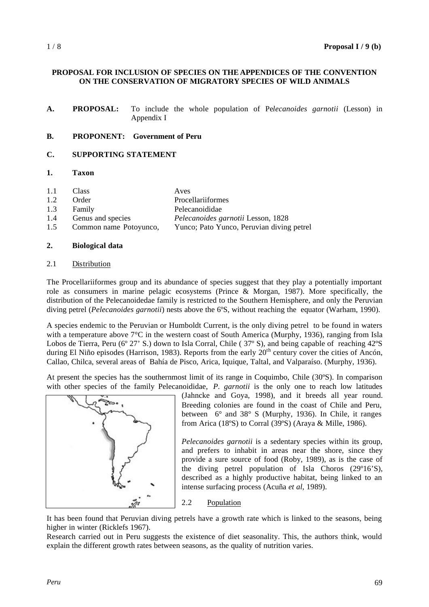### **PROPOSAL FOR INCLUSION OF SPECIES ON THE APPENDICES OF THE CONVENTION ON THE CONSERVATION OF MIGRATORY SPECIES OF WILD ANIMALS**

**A. PROPOSAL:** To include the whole population of Pe*lecanoides garnotii* (Lesson) in Appendix I

#### **B. PROPONENT: Government of Peru**

## **C. SUPPORTING STATEMENT**

### **1. Taxon**

| 1.1 | Class                    | Aves                                      |
|-----|--------------------------|-------------------------------------------|
| 1.2 | Order                    | <b>Procellariiformes</b>                  |
| 1.3 | Family                   | Pelecanoididae                            |
| 1.4 | <b>Genus and species</b> | <i>Pelecanoides garnotii</i> Lesson, 1828 |

1.5 Common name Potoyunco, Yunco; Pato Yunco, Peruvian diving petrel

#### **2. Biological data**

#### 2.1 Distribution

The Procellariiformes group and its abundance of species suggest that they play a potentially important role as consumers in marine pelagic ecosystems (Prince & Morgan, 1987). More specifically, the distribution of the Pelecanoidedae family is restricted to the Southern Hemisphere, and only the Peruvian diving petrel (*Pelecanoides garnotii*) nests above the 6ºS, without reaching the equator (Warham, 1990).

A species endemic to the Peruvian or Humboldt Current, is the only diving petrel to be found in waters with a temperature above 7°C in the western coast of South America (Murphy, 1936), ranging from Isla Lobos de Tierra, Peru (6° 27' S.) down to Isla Corral, Chile (37° S), and being capable of reaching 42°S during El Niño episodes (Harrison, 1983). Reports from the early  $20<sup>th</sup>$  century cover the cities of Ancón, Callao, Chilca, several areas of Bahía de Pisco, Arica, Iquique, Taltal, and Valparaíso. (Murphy, 1936).

At present the species has the southernmost limit of its range in Coquimbo, Chile (30ºS). In comparison with other species of the family Pelecanoididae, *P. garnotii* is the only one to reach low latitudes



(Jahncke and Goya, 1998), and it breeds all year round. Breeding colonies are found in the coast of Chile and Peru, between 6° and 38° S (Murphy, 1936). In Chile, it ranges from Arica (18ºS) to Corral (39ºS) (Araya & Mille, 1986).

*Pelecanoides garnotii* is a sedentary species within its group, and prefers to inhabit in areas near the shore, since they provide a sure source of food (Roby, 1989), as is the case of the diving petrel population of Isla Choros (29º16'S), described as a highly productive habitat, being linked to an intense surfacing process (Acuña *et al*, 1989).

2.2 Population

It has been found that Peruvian diving petrels have a growth rate which is linked to the seasons, being higher in winter (Ricklefs 1967).

Research carried out in Peru suggests the existence of diet seasonality. This, the authors think, would explain the different growth rates between seasons, as the quality of nutrition varies.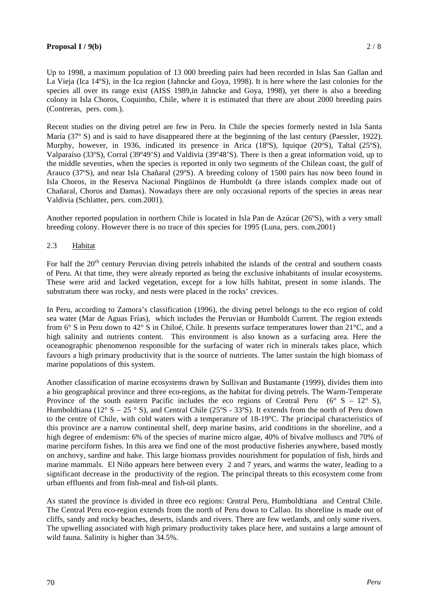### **Proposal I** / 9(b) 2 / 8

Up to 1998, a maximum population of 13 000 breeding pairs had been recorded in Islas San Gallan and La Vieja (Ica 14ºS), in the Ica region (Jahncke and Goya, 1998). It is here where the last colonies for the species all over its range exist (AISS 1989,in Jahncke and Goya, 1998), yet there is also a breeding colony in Isla Choros, Coquimbo, Chile, where it is estimated that there are about 2000 breeding pairs (Contreras, pers. com.).

Recent studies on the diving petrel are few in Peru. In Chile the species formerly nested in Isla Santa María (37º S) and is said to have disappeared there at the beginning of the last century (Paessler, 1922). Murphy, however, in 1936, indicated its presence in Arica (18°S), Iquique (20°S), Taltal (25°S), Valparaíso (33ºS), Corral (39º49'S) and Valdivia (39º48'S). There is then a great information void, up to the middle seventies, when the species is reported in only two segments of the Chilean coast, the gulf of Arauco (37ºS), and near Isla Chañaral (29ºS). A breeding colony of 1500 pairs has now been found in Isla Choros, in the Reserva Nacional Pingüinos de Humboldt (a three islands complex made out of Chañaral, Choros and Damas). Nowadays there are only occasional reports of the species in areas near Valdivia (Schlatter, pers. com.2001).

Another reported population in northern Chile is located in Isla Pan de Azúcar (26ºS), with a very small breeding colony. However there is no trace of this species for 1995 (Luna, pers. com.2001)

### 2.3 Habitat

For half the 20<sup>th</sup> century Peruvian diving petrels inhabited the islands of the central and southern coasts of Peru. At that time, they were already reported as being the exclusive inhabitants of insular ecosystems. These were arid and lacked vegetation, except for a low hills habitat, present in some islands. The substratum there was rocky, and nests were placed in the rocks' crevices.

In Peru, according to Zamora's classification (1996), the diving petrel belongs to the eco region of cold sea water (Mar de Aguas Frías), which includes the Peruvian or Humboldt Current. The region extends from 6° S in Peru down to 42° S in Chiloé, Chile. It presents surface temperatures lower than 21°C, and a high salinity and nutrients content. This environment is also known as a surfacing area. Here the oceanographic phenomenon responsible for the surfacing of water rich in minerals takes place, which favours a high primary productivity that is the source of nutrients. The latter sustain the high biomass of marine populations of this system.

Another classification of marine ecosystems drawn by Sullivan and Bustamante (1999), divides them into a bio geographical province and three eco-regions, as the habitat for diving petrels. The Warm-Temperate Province of the south eastern Pacific includes the eco regions of Central Peru ( $6^{\circ}$  S –  $12^{\circ}$  S), Humboldtiana (12° S – 25 ° S), and Central Chile (25°S - 33°S). It extends from the north of Peru down to the centre of Chile, with cold waters with a temperature of 18-19ºC. The principal characteristics of this province are a narrow continental shelf, deep marine basins, arid conditions in the shoreline, and a high degree of endemism: 6% of the species of marine micro algae, 40% of bivalve molluscs and 70% of marine perciform fishes. In this area we find one of the most productive fisheries anywhere, based mostly on anchovy, sardine and hake. This large biomass provides nourishment for population of fish, birds and marine mammals. El Niño appears here between every 2 and 7 years, and warms the water, leading to a significant decrease in the productivity of the region. The principal threats to this ecosystem come from urban effluents and from fish-meal and fish-oil plants.

As stated the province is divided in three eco regions: Central Peru, Humboldtiana and Central Chile. The Central Peru eco-region extends from the north of Peru down to Callao. Its shoreline is made out of cliffs, sandy and rocky beaches, deserts, islands and rivers. There are few wetlands, and only some rivers. The upwelling associated with high primary productivity takes place here, and sustains a large amount of wild fauna. Salinity is higher than 34.5%.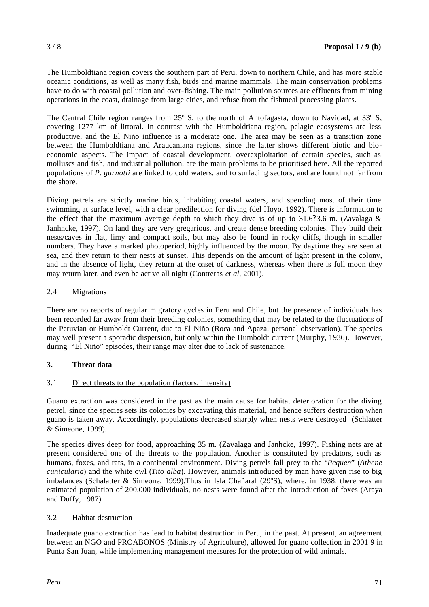The Humboldtiana region covers the southern part of Peru, down to northern Chile, and has more stable oceanic conditions, as well as many fish, birds and marine mammals. The main conservation problems have to do with coastal pollution and over-fishing. The main pollution sources are effluents from mining operations in the coast, drainage from large cities, and refuse from the fishmeal processing plants.

The Central Chile region ranges from 25° S, to the north of Antofagasta, down to Navidad, at 33° S, covering 1277 km of littoral. In contrast with the Humboldtiana region, pelagic ecosystems are less productive, and the El Niño influence is a moderate one. The area may be seen as a transition zone between the Humboldtiana and Araucaniana regions, since the latter shows different biotic and bioeconomic aspects. The impact of coastal development, overexploitation of certain species, such as molluscs and fish, and industrial pollution, are the main problems to be prioritised here. All the reported populations of *P. garnotii* are linked to cold waters, and to surfacing sectors, and are found not far from the shore.

Diving petrels are strictly marine birds, inhabiting coastal waters, and spending most of their time swimming at surface level, with a clear predilection for diving (del Hoyo, 1992). There is information to the effect that the maximum average depth to which they dive is of up to 31.6?3.6 m. (Zavalaga  $\&$ Janhncke, 1997). On land they are very gregarious, and create dense breeding colonies. They build their nests/caves in flat, limy and compact soils, but may also be found in rocky cliffs, though in smaller numbers. They have a marked photoperiod, highly influenced by the moon. By daytime they are seen at sea, and they return to their nests at sunset. This depends on the amount of light present in the colony, and in the absence of light, they return at the onset of darkness, whereas when there is full moon they may return later, and even be active all night (Contreras *et al*, 2001).

### 2.4 Migrations

There are no reports of regular migratory cycles in Peru and Chile, but the presence of individuals has been recorded far away from their breeding colonies, something that may be related to the fluctuations of the Peruvian or Humboldt Current, due to El Niño (Roca and Apaza, personal observation). The species may well present a sporadic dispersion, but only within the Humboldt current (Murphy, 1936). However, during "El Niño" episodes, their range may alter due to lack of sustenance.

## **3. Threat data**

### 3.1 Direct threats to the population (factors, intensity)

Guano extraction was considered in the past as the main cause for habitat deterioration for the diving petrel, since the species sets its colonies by excavating this material, and hence suffers destruction when guano is taken away. Accordingly, populations decreased sharply when nests were destroyed (Schlatter & Simeone, 1999).

The species dives deep for food, approaching 35 m. (Zavalaga and Janhcke, 1997). Fishing nets are at present considered one of the threats to the population. Another is constituted by predators, such as humans, foxes, and rats, in a continental environment. Diving petrels fall prey to the "*Pequen*" (*Athene cunicularia*) and the white owl (*Tito alba*). However, animals introduced by man have given rise to big imbalances (Schalatter & Simeone, 1999).Thus in Isla Chañaral (29ºS), where, in 1938, there was an estimated population of 200.000 individuals, no nests were found after the introduction of foxes (Araya and Duffy, 1987)

### 3.2 Habitat destruction

Inadequate guano extraction has lead to habitat destruction in Peru, in the past. At present, an agreement between an NGO and PROABONOS (Ministry of Agriculture), allowed for guano collection in 2001 9 in Punta San Juan, while implementing management measures for the protection of wild animals.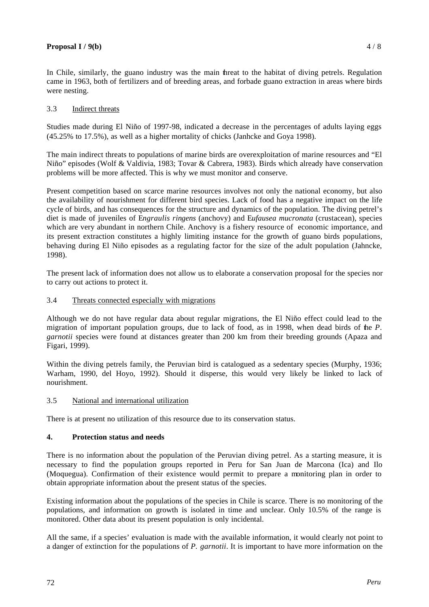### **Proposal I** / 9(b) 4 / 8

In Chile, similarly, the guano industry was the main threat to the habitat of diving petrels. Regulation came in 1963, both of fertilizers and of breeding areas, and forbade guano extraction in areas where birds were nesting.

## 3.3 Indirect threats

Studies made during El Niño of 1997-98, indicated a decrease in the percentages of adults laying eggs (45.25% to 17.5%), as well as a higher mortality of chicks (Janhcke and Goya 1998).

The main indirect threats to populations of marine birds are overexploitation of marine resources and "El Niño" episodes (Wolf & Valdivia, 1983; Tovar & Cabrera, 1983). Birds which already have conservation problems will be more affected. This is why we must monitor and conserve.

Present competition based on scarce marine resources involves not only the national economy, but also the availability of nourishment for different bird species. Lack of food has a negative impact on the life cycle of birds, and has consequences for the structure and dynamics of the population. The diving petrel's diet is made of juveniles of E*ngraulis ringens* (anchovy) and E*ufausea mucronata* (crustacean), species which are very abundant in northern Chile. Anchovy is a fishery resource of economic importance, and its present extraction constitutes a highly limiting instance for the growth of guano birds populations, behaving during El Niño episodes as a regulating factor for the size of the adult population (Jahncke, 1998).

The present lack of information does not allow us to elaborate a conservation proposal for the species nor to carry out actions to protect it.

### 3.4 Threats connected especially with migrations

Although we do not have regular data about regular migrations, the El Niño effect could lead to the migration of important population groups, due to lack of food, as in 1998, when dead birds of the *P. garnotii* species were found at distances greater than 200 km from their breeding grounds (Apaza and Figari, 1999).

Within the diving petrels family, the Peruvian bird is catalogued as a sedentary species (Murphy, 1936; Warham, 1990, del Hoyo, 1992). Should it disperse, this would very likely be linked to lack of nourishment.

### 3.5 National and international utilization

There is at present no utilization of this resource due to its conservation status.

## **4. Protection status and needs**

There is no information about the population of the Peruvian diving petrel. As a starting measure, it is necessary to find the population groups reported in Peru for San Juan de Marcona (Ica) and Ilo (Moquegua). Confirmation of their existence would permit to prepare a monitoring plan in order to obtain appropriate information about the present status of the species.

Existing information about the populations of the species in Chile is scarce. There is no monitoring of the populations, and information on growth is isolated in time and unclear. Only 10.5% of the range is monitored. Other data about its present population is only incidental.

All the same, if a species' evaluation is made with the available information, it would clearly not point to a danger of extinction for the populations of *P. garnotii*. It is important to have more information on the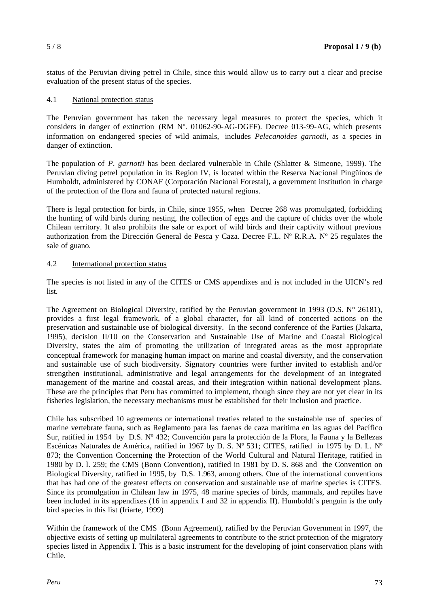status of the Peruvian diving petrel in Chile, since this would allow us to carry out a clear and precise evaluation of the present status of the species.

### 4.1 National protection status

The Peruvian government has taken the necessary legal measures to protect the species, which it considers in danger of extinction (RM Nº. 01062-90-AG-DGFF). Decree 013-99-AG, which presents information on endangered species of wild animals, includes *Pelecanoides garnotii*, as a species in danger of extinction.

The population of *P. garnotii* has been declared vulnerable in Chile (Shlatter & Simeone, 1999). The Peruvian diving petrel population in its Region IV, is located within the Reserva Nacional Pingüinos de Humboldt, administered by CONAF (Corporación Nacional Forestal), a government institution in charge of the protection of the flora and fauna of protected natural regions.

There is legal protection for birds, in Chile, since 1955, when Decree 268 was promulgated, forbidding the hunting of wild birds during nesting, the collection of eggs and the capture of chicks over the whole Chilean territory. It also prohibits the sale or export of wild birds and their captivity without previous authorization from the Dirección General de Pesca y Caza. Decree F.L. Nº R.R.A. Nº 25 regulates the sale of guano.

### 4.2 International protection status

The species is not listed in any of the CITES or CMS appendixes and is not included in the UICN's red list.

The Agreement on Biological Diversity, ratified by the Peruvian government in 1993 (D.S. N° 26181), provides a first legal framework, of a global character, for all kind of concerted actions on the preservation and sustainable use of biological diversity. In the second conference of the Parties (Jakarta, 1995), decision II/10 on the Conservation and Sustainable Use of Marine and Coastal Biological Diversity, states the aim of promoting the utilization of integrated areas as the most appropriate conceptual framework for managing human impact on marine and coastal diversity, and the conservation and sustainable use of such biodiversity. Signatory countries were further invited to establish and/or strengthen institutional, administrative and legal arrangements for the development of an integrated management of the marine and coastal areas, and their integration within national development plans. These are the principles that Peru has committed to implement, though since they are not yet clear in its fisheries legislation, the necessary mechanisms must be established for their inclusion and practice.

Chile has subscribed 10 agreements or international treaties related to the sustainable use of species of marine vertebrate fauna, such as Reglamento para las faenas de caza marítima en las aguas del Pacífico Sur, ratified in 1954 by D.S. Nº 432; Convención para la protección de la Flora, la Fauna y la Bellezas Escénicas Naturales de América, ratified in 1967 by D. S. Nº 531; CITES, ratified in 1975 by D. L. Nº 873; the Convention Concerning the Protection of the World Cultural and Natural Heritage, ratified in 1980 by D. l. 259; the CMS (Bonn Convention), ratified in 1981 by D. S. 868 and the Convention on Biological Diversity, ratified in 1995, by D.S. 1.963, among others. One of the international conventions that has had one of the greatest effects on conservation and sustainable use of marine species is CITES. Since its promulgation in Chilean law in 1975, 48 marine species of birds, mammals, and reptiles have been included in its appendixes (16 in appendix I and 32 in appendix II). Humboldt's penguin is the only bird species in this list (Iriarte, 1999)

Within the framework of the CMS (Bonn Agreement), ratified by the Peruvian Government in 1997, the objective exists of setting up multilateral agreements to contribute to the strict protection of the migratory species listed in Appendix I. This is a basic instrument for the developing of joint conservation plans with Chile.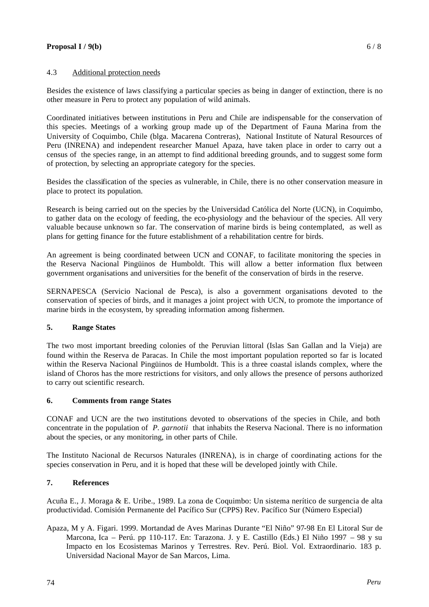### **Proposal I** /  $9(b)$  6 / 8

### 4.3 Additional protection needs

Besides the existence of laws classifying a particular species as being in danger of extinction, there is no other measure in Peru to protect any population of wild animals.

Coordinated initiatives between institutions in Peru and Chile are indispensable for the conservation of this species. Meetings of a working group made up of the Department of Fauna Marina from the University of Coquimbo, Chile (blga. Macarena Contreras), National Institute of Natural Resources of Peru (INRENA) and independent researcher Manuel Apaza, have taken place in order to carry out a census of the species range, in an attempt to find additional breeding grounds, and to suggest some form of protection, by selecting an appropriate category for the species.

Besides the classification of the species as vulnerable, in Chile, there is no other conservation measure in place to protect its population.

Research is being carried out on the species by the Universidad Católica del Norte (UCN), in Coquimbo, to gather data on the ecology of feeding, the eco-physiology and the behaviour of the species. All very valuable because unknown so far. The conservation of marine birds is being contemplated, as well as plans for getting finance for the future establishment of a rehabilitation centre for birds.

An agreement is being coordinated between UCN and CONAF, to facilitate monitoring the species in the Reserva Nacional Pingüinos de Humboldt. This will allow a better information flux between government organisations and universities for the benefit of the conservation of birds in the reserve.

SERNAPESCA (Servicio Nacional de Pesca), is also a government organisations devoted to the conservation of species of birds, and it manages a joint project with UCN, to promote the importance of marine birds in the ecosystem, by spreading information among fishermen.

# **5. Range States**

The two most important breeding colonies of the Peruvian littoral (Islas San Gallan and la Vieja) are found within the Reserva de Paracas. In Chile the most important population reported so far is located within the Reserva Nacional Pingüinos de Humboldt. This is a three coastal islands complex, where the island of Choros has the more restrictions for visitors, and only allows the presence of persons authorized to carry out scientific research.

### **6. Comments from range States**

CONAF and UCN are the two institutions devoted to observations of the species in Chile, and both concentrate in the population of *P. garnotii* that inhabits the Reserva Nacional. There is no information about the species, or any monitoring, in other parts of Chile.

The Instituto Nacional de Recursos Naturales (INRENA), is in charge of coordinating actions for the species conservation in Peru, and it is hoped that these will be developed jointly with Chile.

## **7. References**

Acuña E., J. Moraga & E. Uribe., 1989. La zona de Coquimbo: Un sistema nerítico de surgencia de alta productividad. Comisión Permanente del Pacífico Sur (CPPS) Rev. Pacífico Sur (Número Especial)

Apaza, M y A. Figari. 1999. Mortandad de Aves Marinas Durante "El Niño" 97-98 En El Litoral Sur de Marcona, Ica – Perú. pp 110-117. En: Tarazona. J. y E. Castillo (Eds.) El Niño 1997 – 98 y su Impacto en los Ecosistemas Marinos y Terrestres. Rev. Perú. Biol. Vol. Extraordinario. 183 p. Universidad Nacional Mayor de San Marcos, Lima.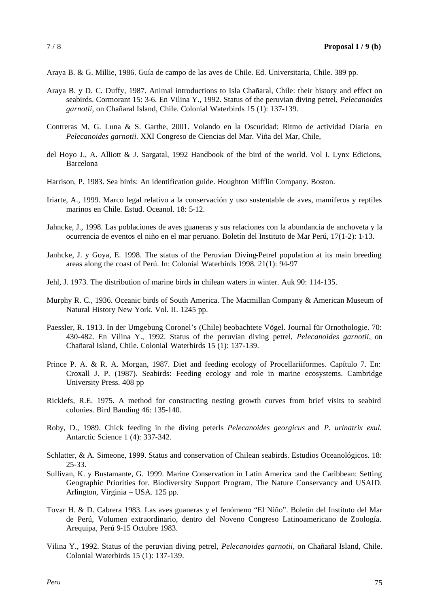Araya B. & G. Millie, 1986. Guía de campo de las aves de Chile. Ed. Universitaria, Chile. 389 pp.

- Araya B. y D. C. Duffy, 1987. Animal introductions to Isla Chañaral, Chile: their history and effect on seabirds. Cormorant 15: 3-6. En Vilina Y., 1992. Status of the peruvian diving petrel, *Pelecanoides garnotii*, on Chañaral Island, Chile. Colonial Waterbirds 15 (1): 137-139.
- Contreras M, G. Luna & S. Garthe, 2001. Volando en la Oscuridad: Ritmo de actividad Diaria en *Pelecanoides garnotii.* XXI Congreso de Ciencias del Mar. Viña del Mar, Chile,
- del Hoyo J., A. Alliott & J. Sargatal, 1992 Handbook of the bird of the world. Vol I. Lynx Edicions, Barcelona
- Harrison, P. 1983. Sea birds: An identification guide. Houghton Mifflin Company. Boston.
- Iriarte, A., 1999. Marco legal relativo a la conservación y uso sustentable de aves, mamíferos y reptiles marinos en Chile. Estud. Oceanol. 18: 5-12.
- Jahncke, J., 1998. Las poblaciones de aves guaneras y sus relaciones con la abundancia de anchoveta y la ocurrencia de eventos el niño en el mar peruano. Boletín del Instituto de Mar Perú, 17(1-2): 1-13.
- Janhcke, J. y Goya, E. 1998. The status of the Peruvian Diving-Petrel population at its main breeding areas along the coast of Perú. In: Colonial Waterbirds 1998. 21(1): 94-97
- Jehl, J. 1973. The distribution of marine birds in chilean waters in winter. Auk 90: 114-135.
- Murphy R. C., 1936. Oceanic birds of South America. The Macmillan Company & American Museum of Natural History New York. Vol. II. 1245 pp.
- Paessler, R. 1913. In der Umgebung Coronel's (Chile) beobachtete Vögel. Journal für Ornothologie. 70: 430-482. En Vilina Y., 1992. Status of the peruvian diving petrel, *Pelecanoides garnotii*, on Chañaral Island, Chile. Colonial Waterbirds 15 (1): 137-139.
- Prince P. A. & R. A. Morgan, 1987. Diet and feeding ecology of Procellariiformes. Capítulo 7. En: Croxall J. P. (1987). Seabirds: Feeding ecology and role in marine ecosystems. Cambridge University Press. 408 pp
- Ricklefs, R.E. 1975. A method for constructing nesting growth curves from brief visits to seabird colonies. Bird Banding 46: 135-140.
- Roby, D., 1989. Chick feeding in the diving peterls *Pelecanoides georgicus* and *P. urinatrix exul.* Antarctic Science 1 (4): 337-342.
- Schlatter, & A. Simeone, 1999. Status and conservation of Chilean seabirds. Estudios Oceanológicos. 18: 25-33.
- Sullivan, K. y Bustamante, G. 1999. Marine Conservation in Latin America :and the Caribbean: Setting Geographic Priorities for. Biodiversity Support Program, The Nature Conservancy and USAID. Arlington, Virginia – USA. 125 pp.
- Tovar H. & D. Cabrera 1983. Las aves guaneras y el fenómeno "El Niño". Boletín del Instituto del Mar de Perú, Volumen extraordinario, dentro del Noveno Congreso Latinoamericano de Zoología. Arequipa, Perú 9-15 Octubre 1983.
- Vilina Y., 1992. Status of the peruvian diving petrel, *Pelecanoides garnotii*, on Chañaral Island, Chile. Colonial Waterbirds 15 (1): 137-139.